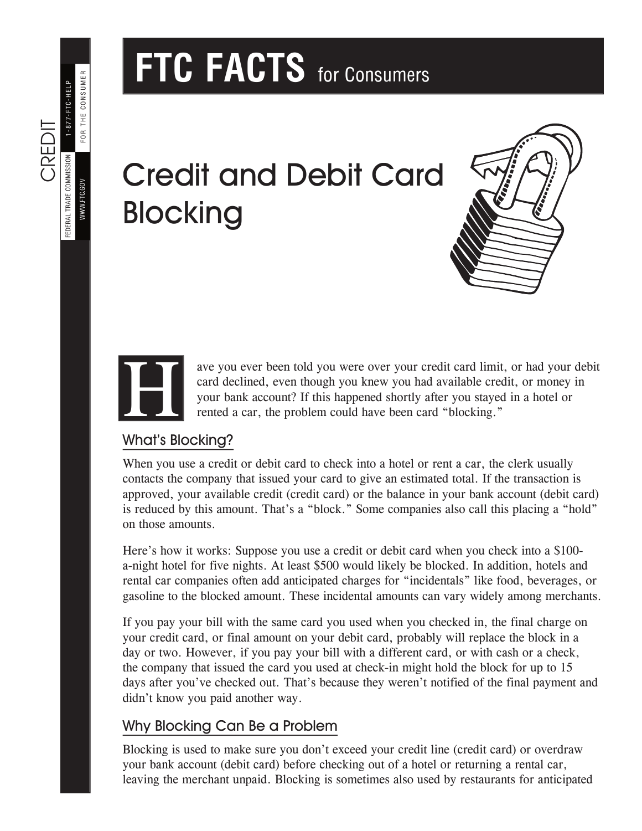# Credit and Debit Card Blocking





ave you ever been told you were over your credit card limit, or had your debit card declined, even though you knew you had available credit, or money in your bank account? If this happened shortly after you stayed in a hotel or rented a car, the problem could have been card "blocking."

## What's Blocking?

When you use a credit or debit card to check into a hotel or rent a car, the clerk usually contacts the company that issued your card to give an estimated total. If the transaction is approved, your available credit (credit card) or the balance in your bank account (debit card) is reduced by this amount. That's a "block." Some companies also call this placing a "hold" on those amounts.

Here's how it works: Suppose you use a credit or debit card when you check into a \$100 a-night hotel for five nights. At least \$500 would likely be blocked. In addition, hotels and rental car companies often add anticipated charges for "incidentals" like food, beverages, or gasoline to the blocked amount. These incidental amounts can vary widely among merchants.

If you pay your bill with the same card you used when you checked in, the final charge on your credit card, or final amount on your debit card, probably will replace the block in a day or two. However, if you pay your bill with a different card, or with cash or a check, the company that issued the card you used at check-in might hold the block for up to 15 days after you've checked out. That's because they weren't notified of the final payment and didn't know you paid another way.

## Why Blocking Can Be a Problem

Blocking is used to make sure you don't exceed your credit line (credit card) or overdraw your bank account (debit card) before checking out of a hotel or returning a rental car, leaving the merchant unpaid. Blocking is sometimes also used by restaurants for anticipated

1-877-FTC-HELP 1-877-FTC-HELP CREDIT FEDERAL TRADE COMMISSION FEDERAL TRADE COMMISSION

F O R T H E C O N S U M ER

FOR THE CONSUMER

WWW.FTC.GOV

WWW.FTC.GOV